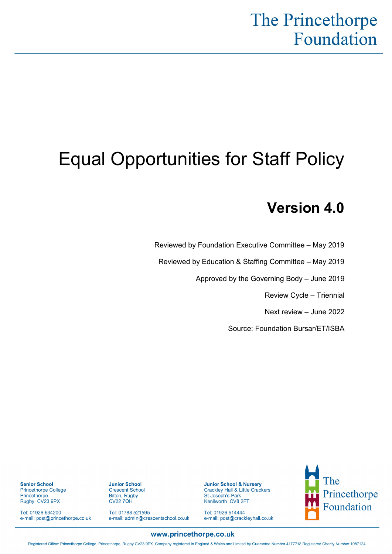## The Princethorpe Foundation

# Equal Opportunities for Staff Policy

## **Version 4.0**

Reviewed by Foundation Executive Committee – May 2019

Reviewed by Education & Staffing Committee – May 2019

Approved by the Governing Body – June 2019

Review Cycle – Triennial

Next review – June 2022

Source: Foundation Bursar/ET/ISBA

**Senior School** Princethorpe College Princethorpe Rugby CV23 9PX

Tel: 01926 634200 e-mail: post@princethorpe.co.uk **Junior School** 

Bilton, Rugby<br>CV22 7QH

**Crescent School** 

Tel: 01788 521595

e-mail: admin@crescentschool.co.uk

**Junior School & Nursery** Crackley Hall & Little Crackers St Joseph's Park Kenilworth CV8 2FT

Tel: 01926 514444 e-mail: post@crackleyhall.co.uk



#### www.princethorpe.co.uk

Registered Office: Princethorpe College, Princethorpe, Rugby CV23 9PX. Company registered in England & Wales and Limited by Guarantee Number 4177718 Registered Charity Number 1087124.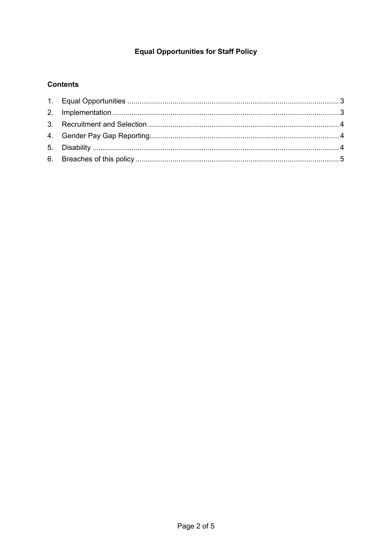### **Equal Opportunities for Staff Policy**

#### **Contents**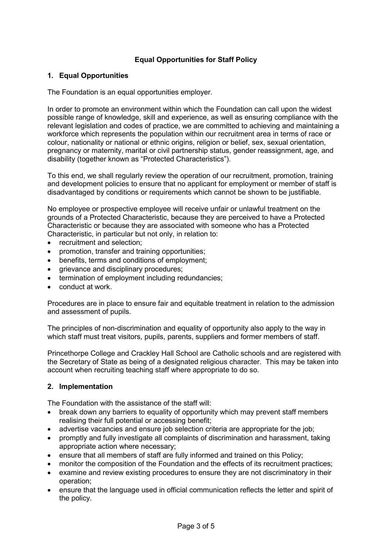#### **Equal Opportunities for Staff Policy**

#### <span id="page-2-0"></span>**1. Equal Opportunities**

The Foundation is an equal opportunities employer.

In order to promote an environment within which the Foundation can call upon the widest possible range of knowledge, skill and experience, as well as ensuring compliance with the relevant legislation and codes of practice, we are committed to achieving and maintaining a workforce which represents the population within our recruitment area in terms of race or colour, nationality or national or ethnic origins, religion or belief, sex, sexual orientation, pregnancy or maternity, marital or civil partnership status, gender reassignment, age, and disability (together known as "Protected Characteristics").

To this end, we shall regularly review the operation of our recruitment, promotion, training and development policies to ensure that no applicant for employment or member of staff is disadvantaged by conditions or requirements which cannot be shown to be justifiable.

No employee or prospective employee will receive unfair or unlawful treatment on the grounds of a Protected Characteristic, because they are perceived to have a Protected Characteristic or because they are associated with someone who has a Protected Characteristic, in particular but not only, in relation to:

- recruitment and selection;
- promotion, transfer and training opportunities;
- benefits, terms and conditions of employment;
- grievance and disciplinary procedures;
- termination of employment including redundancies:
- conduct at work.

Procedures are in place to ensure fair and equitable treatment in relation to the admission and assessment of pupils.

The principles of non-discrimination and equality of opportunity also apply to the way in which staff must treat visitors, pupils, parents, suppliers and former members of staff.

Princethorpe College and Crackley Hall School are Catholic schools and are registered with the Secretary of State as being of a designated religious character. This may be taken into account when recruiting teaching staff where appropriate to do so.

#### <span id="page-2-1"></span>**2. Implementation**

The Foundation with the assistance of the staff will:

- break down any barriers to equality of opportunity which may prevent staff members realising their full potential or accessing benefit;
- advertise vacancies and ensure job selection criteria are appropriate for the job;
- promptly and fully investigate all complaints of discrimination and harassment, taking appropriate action where necessary;
- ensure that all members of staff are fully informed and trained on this Policy;
- monitor the composition of the Foundation and the effects of its recruitment practices;
- examine and review existing procedures to ensure they are not discriminatory in their operation;
- ensure that the language used in official communication reflects the letter and spirit of the policy.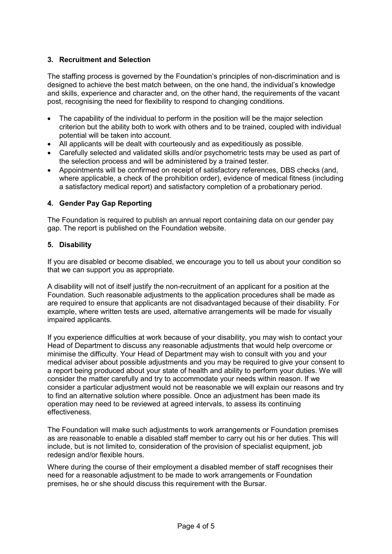#### <span id="page-3-0"></span>**3. Recruitment and Selection**

The staffing process is governed by the Foundation's principles of non-discrimination and is designed to achieve the best match between, on the one hand, the individual's knowledge and skills, experience and character and, on the other hand, the requirements of the vacant post, recognising the need for flexibility to respond to changing conditions.

- The capability of the individual to perform in the position will be the major selection criterion but the ability both to work with others and to be trained, coupled with individual potential will be taken into account.
- All applicants will be dealt with courteously and as expeditiously as possible.
- Carefully selected and validated skills and/or psychometric tests may be used as part of the selection process and will be administered by a trained tester.
- Appointments will be confirmed on receipt of satisfactory references, DBS checks (and, where applicable, a check of the prohibition order), evidence of medical fitness (including a satisfactory medical report) and satisfactory completion of a probationary period.

#### <span id="page-3-1"></span>**4. Gender Pay Gap Reporting**

The Foundation is required to publish an annual report containing data on our gender pay gap. The report is published on the Foundation website.

#### <span id="page-3-2"></span>**5. Disability**

If you are disabled or become disabled, we encourage you to tell us about your condition so that we can support you as appropriate.

A disability will not of itself justify the non-recruitment of an applicant for a position at the Foundation. Such reasonable adjustments to the application procedures shall be made as are required to ensure that applicants are not disadvantaged because of their disability. For example, where written tests are used, alternative arrangements will be made for visually impaired applicants.

If you experience difficulties at work because of your disability, you may wish to contact your Head of Department to discuss any reasonable adjustments that would help overcome or minimise the difficulty. Your Head of Department may wish to consult with you and your medical adviser about possible adjustments and you may be required to give your consent to a report being produced about your state of health and ability to perform your duties. We will consider the matter carefully and try to accommodate your needs within reason. If we consider a particular adjustment would not be reasonable we will explain our reasons and try to find an alternative solution where possible. Once an adjustment has been made its operation may need to be reviewed at agreed intervals, to assess its continuing effectiveness.

The Foundation will make such adjustments to work arrangements or Foundation premises as are reasonable to enable a disabled staff member to carry out his or her duties. This will include, but is not limited to, consideration of the provision of specialist equipment, job redesign and/or flexible hours.

Where during the course of their employment a disabled member of staff recognises their need for a reasonable adjustment to be made to work arrangements or Foundation premises, he or she should discuss this requirement with the Bursar.